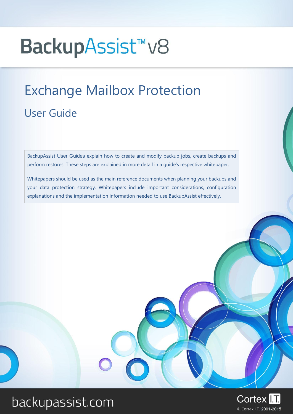# BackupAssist<sup>™</sup>v8

# Exchange Mailbox Protection User Guide

BackupAssist User Guides explain how to create and modify backup jobs, create backups and perform restores. These steps are explained in more detail in a guide's respective whitepaper.

Whitepapers should be used as the main reference documents when planning your backups and your data protection strategy. Whitepapers include important considerations, configuration explanations and the implementation information needed to use BackupAssist effectively.

# backupassist.com

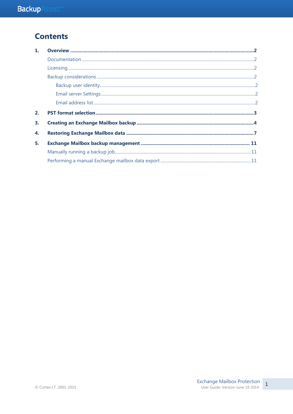### **Contents**

| 1. |  |
|----|--|
|    |  |
|    |  |
|    |  |
|    |  |
|    |  |
|    |  |
| 2. |  |
| 3. |  |
| 4. |  |
| 5. |  |
|    |  |
|    |  |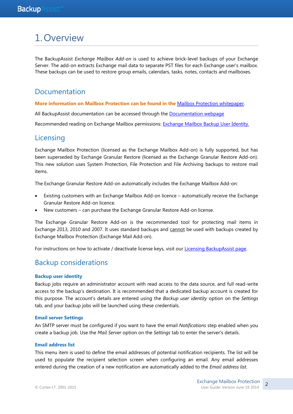## 1.Overview

The BackupAssist *Exchange Mailbox Add-on* is used to achieve brick-level backups of your Exchange Server. The add-on extracts Exchange mail data to separate PST files for each Exchange user's mailbox. These backups can be used to restore group emails, calendars, tasks, notes, contacts and mailboxes.

#### Documentation

**More information on Mailbox Protection can be found in the** [Mailbox Protection whitepaper.](http://www.backupassist.com/education/v8/whitepapers/exchange_mailbox_whitepaper.html)

All BackupAssist documentation can be accessed through the [Documentation webpage](http://www.backupassist.com/education/#backupassist_v8)

Recommended reading on Exchange Mailbox permissions: [Exchange Mailbox Backup User Identity.](http://www.backupassist.com/education/resources/exchange_mailbox_user_identity.html)

#### **Licensing**

Exchange Mailbox Protection (licensed as the Exchange Mailbox Add-on) is fully supported, but has been superseded by Exchange Granular Restore (licensed as the Exchange Granular Restore Add-on). This new solution uses System Protection, File Protection and File Archiving backups to restore mail items.

The Exchange Granular Restore Add-on automatically includes the Exchange Mailbox Add-on:

- Existing customers with an Exchange Mailbox Add-on licence automatically receive the Exchange Granular Restore Add-on licence.
- New customers can purchase the Exchange Granular Restore Add-on license.

The Exchange Granular Restore Add-on is the recommended tool for protecting mail items in Exchange 2013, 2010 and 2007. It uses standard backups and cannot be used with backups created by Exchange Mailbox Protection (Exchange Mail Add-on).

For instructions on how to activate / deactivate license keys, visit our [Licensing BackupAssist page.](http://www.backupassist.com/education/whitepapers/licensing_backupassist.html)

#### Backup considerations

#### **Backup user identity**

Backup jobs require an administrator account with read access to the data source, and full read-write access to the backup's destination. It is recommended that a dedicated backup account is created for this purpose. The account's details are entered using the *Backup user identity* option on the *Settings* tab, and your backup jobs will be launched using these credentials.

#### **Email server Settings**

An SMTP server must be configured if you want to have the email *Notifications* step enabled when you create a backup job. Use the *Mail Server* option on the *Settings* tab to enter the server's details.

#### **Email address list**

This menu item is used to define the email addresses of potential notification recipients. The list will be used to populate the recipient selection screen when configuring an email. Any email addresses entered during the creation of a new notification are automatically added to the *Email address list*.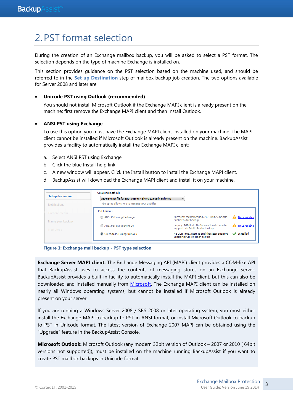# <span id="page-3-0"></span>2. PST format selection

During the creation of an Exchange mailbox backup, you will be asked to select a PST format. The selection depends on the type of machine Exchange is installed on.

This section provides guidance on the PST selection based on the machine used, and should be referred to in the **Set up Destination** step of mailbox backup job creation. The two options available for Server 2008 and later are:

#### **Unicode PST using Outlook (recommended)**

You should not install Microsoft Outlook if the Exchange MAPI client is already present on the machine; first remove the Exchange MAPI client and then install Outlook.

#### **ANSI PST using Exchange**

To use this option you must have the Exchange MAPI client installed on your machine. The MAPI client cannot be installed if Microsoft Outlook is already present on the machine. BackupAssist provides a facility to automatically install the Exchange MAPI client:

- a. Select ANSI PST using Exchange
- b. Click the blue Install help link.
- c. A new window will appear. Click the Install button to install the Exchange MAPI client.
- d. BackupAssist will download the Exchange MAPI client and install it on your machine.

| Set up destination | Grouping method:                                                |                                                                                   |              |
|--------------------|-----------------------------------------------------------------|-----------------------------------------------------------------------------------|--------------|
|                    | Separate pst file for each quarter - allows quarterly archiving |                                                                                   |              |
| Notifications      | Grouping allows you to manage your pst files                    |                                                                                   |              |
| Prepare media      | <b>PST Format:</b>                                              |                                                                                   |              |
| Name your backup   | ANSI PST using Exchange                                         | Microsoft recommended, 2GB limit, Supports<br>Public Folder backup                | Notavailable |
| Next steps         | ANSI PST using Exmerge                                          | Legacy, 2GB limit. No International character<br>support. No Public Folder backup | Notavailable |
|                    | O Unicode PST using Outlook                                     | No 2GB limit. International character support.<br>Supports Public Folder backup   | Installed    |



**Exchange Server MAPI client:** The Exchange Messaging API (MAPI) client provides a COM-like API that BackupAssist uses to access the contents of messaging stores on an Exchange Server. BackupAssist provides a built-in facility to automatically install the MAPI client, but this can also be downloaded and installed manually from [Microsoft.](http://www.microsoft.com/downloads/details.aspx?FamilyID=E17E7F31-079A-43A9-BFF2-0A110307611E&displaylang=en) The Exchange MAPI client can be installed on nearly all Windows operating systems, but cannot be installed if Microsoft Outlook is already present on your server.

If you are running a Windows Server 2008 / SBS 2008 or later operating system, you must either install the Exchange MAPI to backup to PST in ANSI format, or install Microsoft Outlook to backup to PST in Unicode format. The latest version of Exchange 2007 MAPI can be obtained using the "Upgrade" feature in the BackupAssist Console.

**Microsoft Outlook:** Microsoft Outlook (any modern 32bit version of Outlook – 2007 or 2010 [ 64bit versions not supported]), must be installed on the machine running BackupAssist if you want to create PST mailbox backups in Unicode format.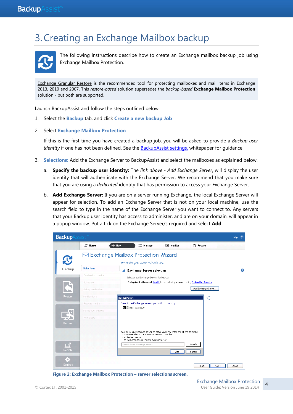# 3.Creating an Exchange Mailbox backup



The following instructions describe how to create an Exchange mailbox backup job using Exchange Mailbox Protection.

[Exchange Granular Restore](http://rick.backupassist.com/education/whitepapers/exchange_server_whitepaper.html) is the recommended tool for protecting mailboxes and mail items in Exchange 2013, 2010 and 2007. This *restore-based* solution supersedes the *backup-based* **Exchange Mailbox Protection** solution - but both are supported.

Launch BackupAssist and follow the steps outlined below:

- 1. Select the **Backup** tab, and click **Create a new backup Job**
- 2. Select **Exchange Mailbox Protection**

If this is the first time you have created a backup job, you will be asked to provide a *Backup user identity* if one has not been defined. See the [BackupAssist settings,](http://rick.backupassist.com/education/v8/whitepapers/backupassist_settings.html) whitepaper for quidance.

- 3. **Selections:** Add the Exchange Server to BackupAssist and select the mailboxes as explained below.
	- a. **Specify the backup user identity:** The *link above - Add Exchange Server*, will display the user identity that will authenticate with the Exchange Server. We recommend that you make sure that you are using a *dedicated* identity that has permission to access your Exchange Server.
	- b. **Add Exchange Server:** If you are on a server running Exchange, the local Exchange Server will appear for selection. To add an Exchange Server that is not on your local machine, use the search field to type in the name of the Exchange Server you want to connect to. Any servers that your Backup user identity has access to administer, and are on your domain, will appear in a popup window. Put a tick on the Exchange Server/s required and select **Add**



**Figure 2: Exchange Mailbox Protection – server selections screen.**

4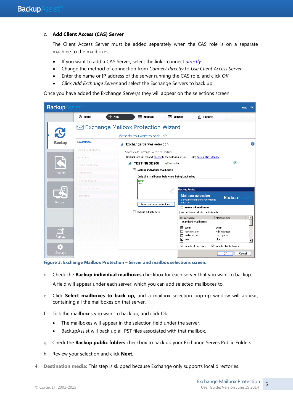#### c. **Add Client Access (CAS) Server**

The Client Access Server must be added separately when the CAS role is on a separate machine to the mailboxes.

- If you want to add a CAS Server, select the link connect *directly*
- Change the method of connection from *Connect directly* to *Use Client Access Server*
- Enter the name or IP address of the server running the CAS role, and click *OK.*
- Click *Add Exchange Server* and select the Exchange Servers to back up.

Once you have added the Exchange Server/s they will appear on the selections screen.

| <b>Backup</b>   | $\mathsf{s}\mathsf{s}\mathsf{i}\mathsf{s}\mathsf{t}^{\mathsf{m}}$ |                                              |                                                                |                   |                                                                                        |                                 |                      | 2<br><b>Help</b> |
|-----------------|-------------------------------------------------------------------|----------------------------------------------|----------------------------------------------------------------|-------------------|----------------------------------------------------------------------------------------|---------------------------------|----------------------|------------------|
|                 | <b>© Home</b>                                                     | $+$ New                                      | <b>E</b> Manage                                                | $\boxdot$ Monitor | <b>Reports</b><br>圕                                                                    |                                 |                      |                  |
|                 |                                                                   | $\boxdot$ Exchange Mailbox Protection Wizard |                                                                |                   |                                                                                        |                                 |                      |                  |
|                 |                                                                   |                                              | What do you want to back up?                                   |                   |                                                                                        |                                 |                      |                  |
| Backup          | <b>Selections</b>                                                 |                                              | <b>Exchange Server selection</b>                               |                   |                                                                                        |                                 |                      | 6                |
|                 | Destination media                                                 |                                              | Select or add Exchange Servers for backup:                     |                   |                                                                                        |                                 |                      |                  |
|                 | Schedule                                                          |                                              |                                                                |                   | BackupAssist will connect directly to the following servers using Backup User Identity |                                 |                      |                  |
|                 | Set up destination                                                |                                              | <b>TESTINGSBS08</b>                                            | vaccessible       |                                                                                        |                                 | $\mathbf{z}$         |                  |
| Restore         | Notifications                                                     |                                              | $\triangledown$ Back up individual mailboxes                   |                   |                                                                                        |                                 |                      |                  |
|                 | Prepare media                                                     |                                              | Only the mailboxes below are being backed up<br>admin<br>blue: |                   |                                                                                        |                                 |                      |                  |
|                 | Name your backup                                                  |                                              |                                                                |                   | <b>BackupAssist</b>                                                                    |                                 |                      |                  |
|                 | Next steps                                                        |                                              |                                                                |                   | <b>Mailbox selection</b>                                                               |                                 | <b>Backup</b> Assist |                  |
| Recover         |                                                                   |                                              | Select mailboxes to back up                                    |                   | Select the mailboxes you wish to<br>back up                                            |                                 |                      |                  |
|                 |                                                                   |                                              | Back up public folders                                         |                   | $\Box$ Select all mailboxes<br>(new mailboxes will also be included)                   |                                 |                      |                  |
|                 |                                                                   |                                              |                                                                |                   | Display Name                                                                           | Mailbox Name                    |                      | $\blacktriangle$ |
|                 |                                                                   |                                              |                                                                |                   | <b>Standard mailboxes</b>                                                              |                                 |                      |                  |
| $\Box$          |                                                                   |                                              |                                                                |                   | $\triangleright$ admin<br>$\Box$ Administrator                                         | admin<br>Administrator          |                      |                  |
| <b>Remote</b>   |                                                                   |                                              |                                                                |                   | $\Box$ backupassist                                                                    | backupassist                    |                      |                  |
|                 |                                                                   |                                              |                                                                |                   | <b>⊽</b> blue                                                                          | blue                            |                      | ≛                |
| o.              |                                                                   |                                              |                                                                |                   | $\nabla$ Include hidden users                                                          | $\nabla$ Include disabled users |                      |                  |
| <b>Settings</b> |                                                                   |                                              |                                                                |                   |                                                                                        | 0K                              |                      | Cancel           |

**Figure 3: Exchange Mailbox Protection – Server and mailbox selections screen.**

- d. Check the **Backup individual mailboxes** checkbox for each server that you want to backup. A field will appear under each server, which you can add selected mailboxes to.
- e. Click **Select mailboxes to back up,** and a mailbox selection pop-up window will appear, containing all the mailboxes on that server.
- f. Tick the mailboxes you want to back up, and click Ok.
	- The mailboxes will appear in the selection field under the server.
	- BackupAssist will back up all PST files associated with that mailbox.
- g. Check the **Backup public folders** checkbox to back up your Exchange Serves Public Folders.
- h. Review your selection and click **Next.**
- 4. **Destination media:** This step is skipped because Exchange only supports local directories.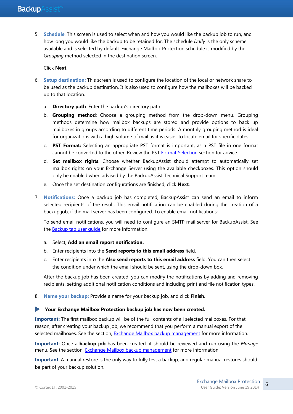5. **Schedule**. This screen is used to select when and how you would like the backup job to run, and how long you would like the backup to be retained for. The schedule *Daily* is the only scheme available and is selected by default. Exchange Mailbox Protection schedule is modified by the *Grouping* method selected in the destination screen.

#### Click **Next**.

- 6. **Setup destination:** This screen is used to configure the location of the local or network share to be used as the backup destination. It is also used to configure how the mailboxes will be backed up to that location.
	- a. **Directory path**: Enter the backup's directory path.
	- b. **Grouping method**: Choose a grouping method from the drop-down menu. Grouping methods determine how mailbox backups are stored and provide options to back up mailboxes in groups according to different time periods. A monthly grouping method is ideal for organizations with a high volume of mail as it is easier to locate email for specific dates.
	- c. **PST Format:** Selecting an appropriate PST format is important, as a PST file in one format cannot be converted to the other. Review the PST [Format Selection](#page-3-0) section for advice.
	- d. **Set mailbox rights**. Choose whether BackupAssist should attempt to automatically set mailbox rights on your Exchange Server using the available checkboxes. This option should only be enabled when advised by the BackupAssist Technical Support team.
	- e. Once the set destination configurations are finished, click **Next**.
- 7. **Notifications:** Once a backup job has completed, BackupAssist can send an email to inform selected recipients of the result. This email notification can be enabled during the creation of a backup job, if the mail server has been configured. To enable email notifications:

To send email notifications, you will need to configure an SMTP mail server for BackupAssist. See the Backup tab user quide for more information.

- a. Select, **Add an email report notification.**
- b. Enter recipients into the **Send reports to this email address** field.
- c. Enter recipients into the **Also send reports to this email address** field. You can then select the condition under which the email should be sent, using the drop-down box.

After the backup job has been created, you can modify the notifications by adding and removing recipients, setting additional notification conditions and including print and file notification types.

8. **Name your backup:** Provide a name for your backup job, and click **Finish**.

#### **Your Exchange Mailbox Protection backup job has now been created.**

**Important:** The first mailbox backup will be of the full contents of all selected mailboxes. For that reason, after creating your backup job, we recommend that you perform a manual export of the selected mailboxes. See the section, [Exchange Mailbox backup management](#page-11-0) for more information.

**Important:** Once a **backup job** has been created, it should be reviewed and run using the *Manage* menu. See the section, [Exchange Mailbox backup management](#page-11-0) for more information.

**Important**: A manual restore is the only way to fully test a backup, and regular manual restores should be part of your backup solution.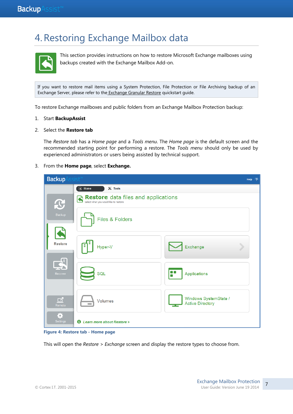# 4.Restoring Exchange Mailbox data



This section provides instructions on how to restore Microsoft Exchange mailboxes using backups created with the Exchange Mailbox Add-on.

If you want to restore mail items using a System Protection, File Protection or File Archiving backup of an Exchange Server, please refer to the [Exchange Granular Restore](http://www.backupassist.com/education/whitepapers/exchange_server_whitepaper.html) quickstart guide.

To restore Exchange mailboxes and public folders from an Exchange Mailbox Protection backup:

#### 1. Start **BackupAssist**

#### 2. Select the **Restore tab**

The *Restore tab* has a *Home page* and a *Tools menu*. The *Home page* is the default screen and the recommended starting point for performing a restore. The *Tools menu* should only be used by experienced administrators or users being assisted by technical support.

#### 3. From the **Home page**, select **Exchange.**

| <b>Backup</b>         | $\mathsf{s}\mathsf{s}\mathsf{s}\mathsf{t}^*$                                        | Help                                             | $\overline{\mathbf{z}}$ |
|-----------------------|-------------------------------------------------------------------------------------|--------------------------------------------------|-------------------------|
|                       | $\mathbb{X}$ Tools<br><b>R</b> Home                                                 |                                                  |                         |
| $\mathbf{C}$          | <b>Restore</b> data files and applications<br>Select what you would like to restore |                                                  |                         |
| Backup                | <b>Files &amp; Folders</b>                                                          |                                                  |                         |
| <b>Restore</b>        | Hyper-V                                                                             | Exchange                                         |                         |
| Recover               | IОС<br>SQL                                                                          | Applications                                     |                         |
| $\Box$<br>Remote      | Volumes                                                                             | Windows SystemState /<br><b>Active Directory</b> |                         |
| ♦,<br><b>Settings</b> | <b>1</b> Learn more about Restore >                                                 |                                                  |                         |

**Figure 4: Restore tab - Home page**

This will open the *Restore > Exchange* screen and display the restore types to choose from.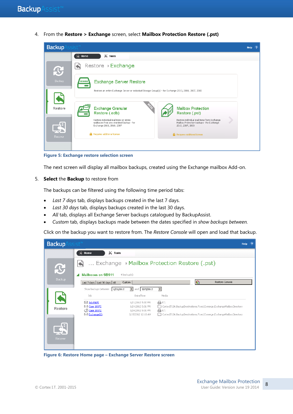4. From the **Restore > Exchange** screen, select **Mailbox Protection Restore (.pst)**



**Figure 5: Exchange restore selection screen**

The next screen will display all mailbox backups, created using the Exchange mailbox Add-on.

#### 5. **Select** the **Backup** to restore from

The backups can be filtered using the following time period tabs:

- *Last 7 days* tab, displays backups created in the last 7 days.
- *Last 30 days* tab, displays backups created in the last 30 days.
- *All* tab, displays all Exchange Server backups catalogued by BackupAssist.
- *Custom* tab, displays backups made between the dates specified in *show backups between.*

Click on the backup you want to restore from. The *Restore Console* will open and load that backup.

| $s$ ist $m$<br><b>Backup</b><br>$\overline{\phantom{a}}$<br>Help |                                            |                                        |                          |                 |                                                                       |  |
|------------------------------------------------------------------|--------------------------------------------|----------------------------------------|--------------------------|-----------------|-----------------------------------------------------------------------|--|
|                                                                  | $\mathbb{X}$ Tools<br>R<br>Home            |                                        |                          |                 |                                                                       |  |
| <b>R</b>                                                         | Exchange Mailbox Protection Restore (.pst) |                                        |                          |                 |                                                                       |  |
| Backup                                                           | <b>Mailboxes on SBS11</b>                  | 4 backup(s)                            |                          |                 |                                                                       |  |
|                                                                  | Last 7 days   Last 30 days   All           | Custom                                 |                          | $\mathcal{C}_1$ | Restore Console                                                       |  |
|                                                                  | Show backups between<br>1/21/2012          | and 3/15/2012<br>▾                     | $\overline{\phantom{a}}$ |                 |                                                                       |  |
|                                                                  | <b>Job</b>                                 | Date/Time                              | Media                    |                 |                                                                       |  |
|                                                                  | Job MAPI<br><b>S</b> Case 10372            | 1/21/2012 5:00 PM<br>1/24/2012 5:01 PM | 日日                       |                 | CortexIT.BA.BackupDestinations.Fixed.Exmerge.ExchangeMailboxDirectory |  |
| Restore                                                          | C Case 10372                               | 1/24/2012 5:01 PM                      | @ E:\                    |                 |                                                                       |  |
|                                                                  | $\boxdot$ Exchange(1)                      | 3/15/2012 12:13 AM                     |                          |                 | CortexIT.BA.BackupDestinations.Fixed.Exmerge.ExchangeMailboxDirectory |  |
| Recover                                                          |                                            |                                        |                          |                 |                                                                       |  |

**Figure 6: Restore Home page – Exchange Server Restore screen**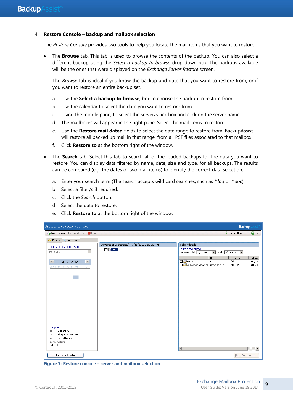#### 4. **Restore Console – backup and mailbox selection**

The *Restore Console* provides two tools to help you locate the mail items that you want to restore:

 The **Browse** tab. This tab is used to browse the contents of the backup. You can also select a different backup using the *Select a backup to browse* drop down box. The backups available will be the ones that were displayed on the *Exchange Server Restore* screen.

The *Browse* tab is ideal if you know the backup and date that you want to restore from, or if you want to restore an entire backup set.

- a. Use the **Select a backup to browse**, box to choose the backup to restore from.
- b. Use the calendar to select the date you want to restore from.
- c. Using the middle pane, to select the server/s tick box and click on the server name.
- d. The mailboxes will appear in the right pane. Select the mail items to restore
- e. Use the **Restore mail dated** fields to select the date range to restore from. BackupAssist will restore all backed up mail in that range, from all PST files associated to that mailbox.
- f. Click **Restore to** at the bottom right of the window.
- The **Search** tab. Select this tab to search all of the loaded backups for the data you want to restore. You can display data filtered by name, date, size and type, for all backups. The results can be compared (e.g. the dates of two mail items) to identify the correct data selection.
	- a. Enter your search term (The search accepts wild card searches, such as *\*.log* or *\*.doc*).
	- b. Select a filter/s if required.
	- c. Click the *Search* button.
	- d. Select the data to restore.
	- e. Click **Restore to** at the bottom right of the window.

| BackupAssist Restore Console                                                                                                    |                                                                                        |                                                                                  | <b>Backup</b>                              |                                   |
|---------------------------------------------------------------------------------------------------------------------------------|----------------------------------------------------------------------------------------|----------------------------------------------------------------------------------|--------------------------------------------|-----------------------------------|
| Clear 4 backups 4 backups loaded X Clear                                                                                        |                                                                                        |                                                                                  | $\left \frac{1}{x}\right $ Restore Reports | <sup>O</sup> Help                 |
| <b>D</b> Browse $\sqrt{Q}$ File search                                                                                          |                                                                                        |                                                                                  |                                            |                                   |
| Select a backup to browse:<br>$\overline{\phantom{a}}$<br>Exchange(1)                                                           | Contents of Exchange(1) - 3/15/2012 12:13:14 AM<br>$\blacksquare$ $\blacksquare$ SBS11 | Folder details<br>Restore mail dated:<br>between $\nabla$<br>1/1/2012<br>$\vert$ | and $3/11/2012$<br>$\vert \cdot \vert$     |                                   |
| $\overline{\mathbb{R}}$<br>国<br><b>March, 2012</b><br>Sun Mon Tue Wed Thu Fri Sat                                               |                                                                                        | ${\rm ID}$<br>Name<br>admin<br>admin<br>Mмяужеисползуется user7b372e97           | Start date<br>1/1/2012<br>1/1/2012         | End date<br>3/11/201<br>2/18/201: |
| 15                                                                                                                              |                                                                                        |                                                                                  |                                            |                                   |
|                                                                                                                                 |                                                                                        |                                                                                  |                                            |                                   |
|                                                                                                                                 |                                                                                        |                                                                                  |                                            |                                   |
| Backup details<br>Exchange(1)<br>Job:<br>3/15/2012 12:13 AM<br>Date:<br>Media: Manual backup<br>Original location:<br>mailbox 9 |                                                                                        | $\vert \cdot \vert$                                                              |                                            |                                   |
| List backed up files                                                                                                            |                                                                                        |                                                                                  | $\triangleright$                           | Restore to                        |

**Figure 7: Restore console – server and mailbox selection**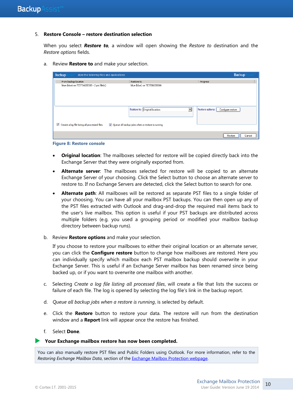#### 5. **Restore Console – restore destination selection**

When you select *Restore to,* a window will open showing the *Restore to* destination and the *Restore options* fields.

a. Review **Restore to** and make your selection.

| <b>Backup</b><br>store the following files and applications         |                                                                                   | <b>Backup</b>                         |
|---------------------------------------------------------------------|-----------------------------------------------------------------------------------|---------------------------------------|
| From backup location<br>blue (blue) on TESTINGSBS08 - 2 pst file(s) | Restore to<br>blue (blue) on TESTINGSBS08                                         | Progress                              |
| Create a log file listing all processed files                       | Restore to: Original location:<br>Oueue all backup jobs when a restore is running | Restore options:<br>Configure restore |
|                                                                     |                                                                                   | Restore<br>Cancel                     |



- **Original location**: The mailboxes selected for restore will be copied directly back into the Exchange Server that they were originally exported from.
- **Alternate server**: The mailboxes selected for restore will be copied to an alternate Exchange Server of your choosing. Click the Select button to choose an alternate server to restore to. If no Exchange Servers are detected, click the Select button to search for one.
- **Alternate path**: All mailboxes will be restored as separate PST files to a single folder of your choosing. You can have all your mailbox PST backups. You can then open up any of the PST files extracted with Outlook and drag-and-drop the required mail items back to the user's live mailbox. This option is useful if your PST backups are distributed across multiple folders (e.g. you used a grouping period or modified your mailbox backup directory between backup runs).
- b. Review **Restore options** and make your selection.

If you choose to restore your mailboxes to either their original location or an alternate server, you can click the **Configure restore** button to change how mailboxes are restored. Here you can individually specify which mailbox each PST mailbox backup should overwrite in your Exchange Server. This is useful if an Exchange Server mailbox has been renamed since being backed up, or if you want to overwrite one mailbox with another.

- c. Selecting *Create a log file listing all processed files*, will create a file that lists the success or failure of each file. The log is opened by selecting the log file's link in the backup report.
- d. *Queue all backup jobs when a restore is running*, is selected by default.
- e. Click the **Restore** button to restore your data. The restore will run from the destination window and a **Report** link will appear once the restore has finished.
- f. Select **Done**.

**Your Exchange mailbox restore has now been completed.**

You can also manually restore PST files and Public Folders using Outlook. For more information, refer to the *Restoring Exchange Mailbox Data*, section of the [Exchange Mailbox Protection webpage.](http://www.backupassist.com/education/v8/whitepapers/exchange_mailbox_whitepaper.html)